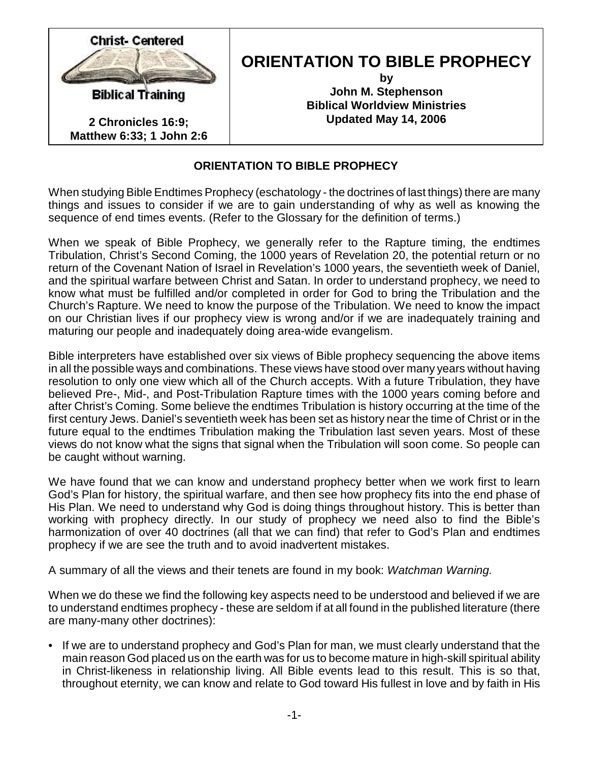

# **ORIENTATION TO BIBLE PROPHECY**

**by John M. Stephenson Biblical Worldview Ministries Updated May 14, 2006**

# **ORIENTATION TO BIBLE PROPHECY**

When studying Bible Endtimes Prophecy (eschatology - the doctrines of last things) there are many things and issues to consider if we are to gain understanding of why as well as knowing the sequence of end times events. (Refer to the Glossary for the definition of terms.)

When we speak of Bible Prophecy, we generally refer to the Rapture timing, the endtimes Tribulation, Christ's Second Coming, the 1000 years of Revelation 20, the potential return or no return of the Covenant Nation of Israel in Revelation's 1000 years, the seventieth week of Daniel, and the spiritual warfare between Christ and Satan. In order to understand prophecy, we need to know what must be fulfilled and/or completed in order for God to bring the Tribulation and the Church's Rapture. We need to know the purpose of the Tribulation. We need to know the impact on our Christian lives if our prophecy view is wrong and/or if we are inadequately training and maturing our people and inadequately doing area-wide evangelism.

Bible interpreters have established over six views of Bible prophecy sequencing the above items in all the possible ways and combinations. These views have stood over many years without having resolution to only one view which all of the Church accepts. With a future Tribulation, they have believed Pre-, Mid-, and Post-Tribulation Rapture times with the 1000 years coming before and after Christ's Coming. Some believe the endtimes Tribulation is history occurring at the time of the first century Jews. Daniel's seventieth week has been set as history near the time of Christ or in the future equal to the endtimes Tribulation making the Tribulation last seven years. Most of these views do not know what the signs that signal when the Tribulation will soon come. So people can be caught without warning.

We have found that we can know and understand prophecy better when we work first to learn God's Plan for history, the spiritual warfare, and then see how prophecy fits into the end phase of His Plan. We need to understand why God is doing things throughout history. This is better than working with prophecy directly. In our study of prophecy we need also to find the Bible's harmonization of over 40 doctrines (all that we can find) that refer to God's Plan and endtimes prophecy if we are see the truth and to avoid inadvertent mistakes.

A summary of all the views and their tenets are found in my book: *Watchman Warning.*

When we do these we find the following key aspects need to be understood and believed if we are to understand endtimes prophecy - these are seldom if at all found in the published literature (there are many-many other doctrines):

• If we are to understand prophecy and God's Plan for man, we must clearly understand that the main reason God placed us on the earth was for us to become mature in high-skill spiritual ability in Christ-likeness in relationship living. All Bible events lead to this result. This is so that, throughout eternity, we can know and relate to God toward His fullest in love and by faith in His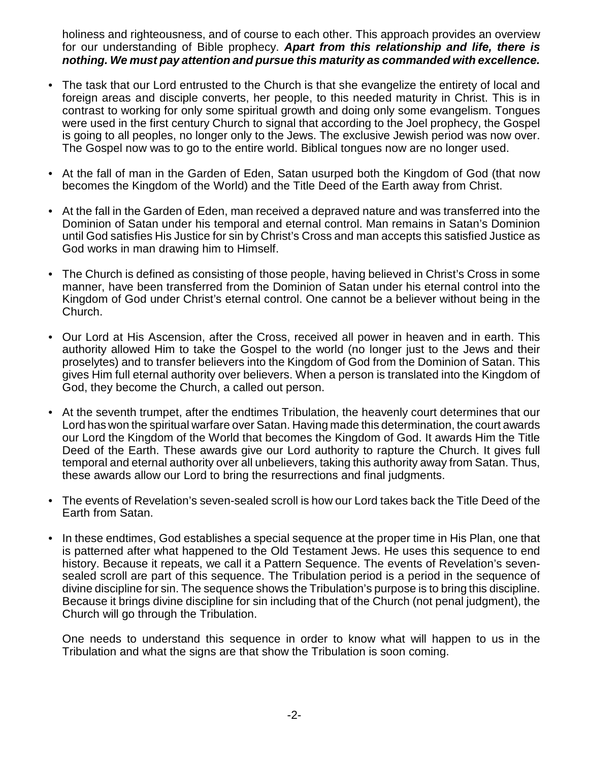holiness and righteousness, and of course to each other. This approach provides an overview for our understanding of Bible prophecy. *Apart from this relationship and life, there is nothing. We must pay attention and pursue this maturity as commanded with excellence.*

- The task that our Lord entrusted to the Church is that she evangelize the entirety of local and foreign areas and disciple converts, her people, to this needed maturity in Christ. This is in contrast to working for only some spiritual growth and doing only some evangelism. Tongues were used in the first century Church to signal that according to the Joel prophecy, the Gospel is going to all peoples, no longer only to the Jews. The exclusive Jewish period was now over. The Gospel now was to go to the entire world. Biblical tongues now are no longer used.
- At the fall of man in the Garden of Eden, Satan usurped both the Kingdom of God (that now becomes the Kingdom of the World) and the Title Deed of the Earth away from Christ.
- At the fall in the Garden of Eden, man received a depraved nature and was transferred into the Dominion of Satan under his temporal and eternal control. Man remains in Satan's Dominion until God satisfies His Justice for sin by Christ's Cross and man accepts this satisfied Justice as God works in man drawing him to Himself.
- The Church is defined as consisting of those people, having believed in Christ's Cross in some manner, have been transferred from the Dominion of Satan under his eternal control into the Kingdom of God under Christ's eternal control. One cannot be a believer without being in the Church.
- Our Lord at His Ascension, after the Cross, received all power in heaven and in earth. This authority allowed Him to take the Gospel to the world (no longer just to the Jews and their proselytes) and to transfer believers into the Kingdom of God from the Dominion of Satan. This gives Him full eternal authority over believers. When a person is translated into the Kingdom of God, they become the Church, a called out person.
- At the seventh trumpet, after the endtimes Tribulation, the heavenly court determines that our Lord has won the spiritual warfare over Satan. Having made this determination, the court awards our Lord the Kingdom of the World that becomes the Kingdom of God. It awards Him the Title Deed of the Earth. These awards give our Lord authority to rapture the Church. It gives full temporal and eternal authority over all unbelievers, taking this authority away from Satan. Thus, these awards allow our Lord to bring the resurrections and final judgments.
- The events of Revelation's seven-sealed scroll is how our Lord takes back the Title Deed of the Earth from Satan.
- In these endtimes, God establishes a special sequence at the proper time in His Plan, one that is patterned after what happened to the Old Testament Jews. He uses this sequence to end history. Because it repeats, we call it a Pattern Sequence. The events of Revelation's sevensealed scroll are part of this sequence. The Tribulation period is a period in the sequence of divine discipline for sin. The sequence shows the Tribulation's purpose is to bring this discipline. Because it brings divine discipline for sin including that of the Church (not penal judgment), the Church will go through the Tribulation.

One needs to understand this sequence in order to know what will happen to us in the Tribulation and what the signs are that show the Tribulation is soon coming.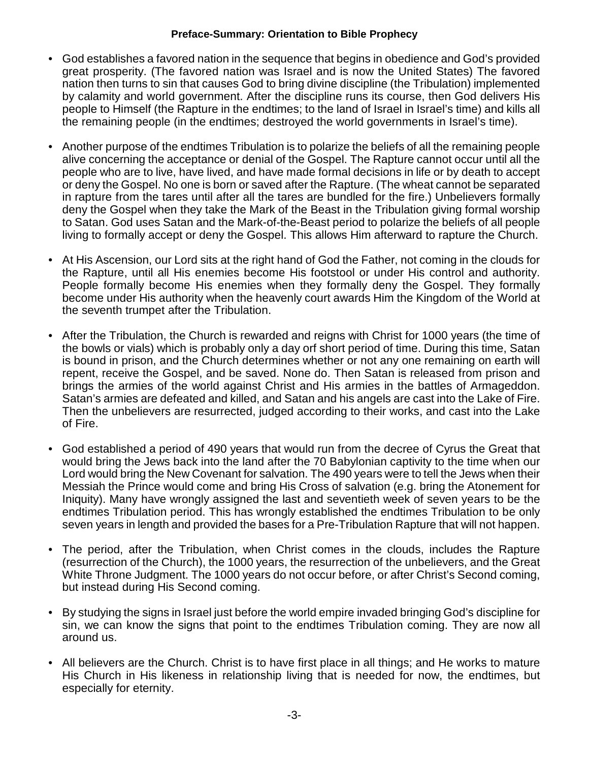## **Preface-Summary: Orientation to Bible Prophecy**

- God establishes a favored nation in the sequence that begins in obedience and God's provided great prosperity. (The favored nation was Israel and is now the United States) The favored nation then turns to sin that causes God to bring divine discipline (the Tribulation) implemented by calamity and world government. After the discipline runs its course, then God delivers His people to Himself (the Rapture in the endtimes; to the land of Israel in Israel's time) and kills all the remaining people (in the endtimes; destroyed the world governments in Israel's time).
- Another purpose of the endtimes Tribulation is to polarize the beliefs of all the remaining people alive concerning the acceptance or denial of the Gospel. The Rapture cannot occur until all the people who are to live, have lived, and have made formal decisions in life or by death to accept or deny the Gospel. No one is born or saved after the Rapture. (The wheat cannot be separated in rapture from the tares until after all the tares are bundled for the fire.) Unbelievers formally deny the Gospel when they take the Mark of the Beast in the Tribulation giving formal worship to Satan. God uses Satan and the Mark-of-the-Beast period to polarize the beliefs of all people living to formally accept or deny the Gospel. This allows Him afterward to rapture the Church.
- At His Ascension, our Lord sits at the right hand of God the Father, not coming in the clouds for the Rapture, until all His enemies become His footstool or under His control and authority. People formally become His enemies when they formally deny the Gospel. They formally become under His authority when the heavenly court awards Him the Kingdom of the World at the seventh trumpet after the Tribulation.
- After the Tribulation, the Church is rewarded and reigns with Christ for 1000 years (the time of the bowls or vials) which is probably only a day orf short period of time. During this time, Satan is bound in prison, and the Church determines whether or not any one remaining on earth will repent, receive the Gospel, and be saved. None do. Then Satan is released from prison and brings the armies of the world against Christ and His armies in the battles of Armageddon. Satan's armies are defeated and killed, and Satan and his angels are cast into the Lake of Fire. Then the unbelievers are resurrected, judged according to their works, and cast into the Lake of Fire.
- God established a period of 490 years that would run from the decree of Cyrus the Great that would bring the Jews back into the land after the 70 Babylonian captivity to the time when our Lord would bring the New Covenant for salvation. The 490 years were to tell the Jews when their Messiah the Prince would come and bring His Cross of salvation (e.g. bring the Atonement for Iniquity). Many have wrongly assigned the last and seventieth week of seven years to be the endtimes Tribulation period. This has wrongly established the endtimes Tribulation to be only seven years in length and provided the bases for a Pre-Tribulation Rapture that will not happen.
- The period, after the Tribulation, when Christ comes in the clouds, includes the Rapture (resurrection of the Church), the 1000 years, the resurrection of the unbelievers, and the Great White Throne Judgment. The 1000 years do not occur before, or after Christ's Second coming, but instead during His Second coming.
- By studying the signs in Israel just before the world empire invaded bringing God's discipline for sin, we can know the signs that point to the endtimes Tribulation coming. They are now all around us.
- All believers are the Church. Christ is to have first place in all things; and He works to mature His Church in His likeness in relationship living that is needed for now, the endtimes, but especially for eternity.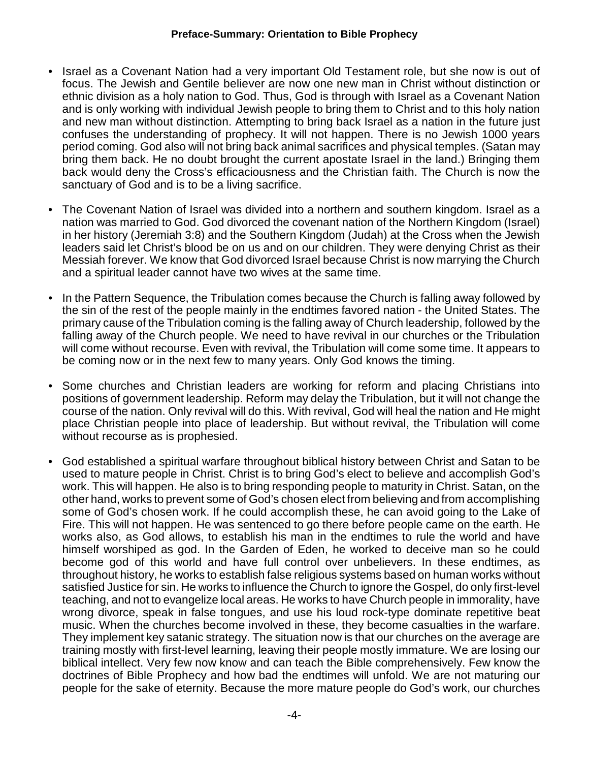#### **Preface-Summary: Orientation to Bible Prophecy**

- Israel as a Covenant Nation had a very important Old Testament role, but she now is out of focus. The Jewish and Gentile believer are now one new man in Christ without distinction or ethnic division as a holy nation to God. Thus, God is through with Israel as a Covenant Nation and is only working with individual Jewish people to bring them to Christ and to this holy nation and new man without distinction. Attempting to bring back Israel as a nation in the future just confuses the understanding of prophecy. It will not happen. There is no Jewish 1000 years period coming. God also will not bring back animal sacrifices and physical temples. (Satan may bring them back. He no doubt brought the current apostate Israel in the land.) Bringing them back would deny the Cross's efficaciousness and the Christian faith. The Church is now the sanctuary of God and is to be a living sacrifice.
- The Covenant Nation of Israel was divided into a northern and southern kingdom. Israel as a nation was married to God. God divorced the covenant nation of the Northern Kingdom (Israel) in her history (Jeremiah 3:8) and the Southern Kingdom (Judah) at the Cross when the Jewish leaders said let Christ's blood be on us and on our children. They were denying Christ as their Messiah forever. We know that God divorced Israel because Christ is now marrying the Church and a spiritual leader cannot have two wives at the same time.
- In the Pattern Sequence, the Tribulation comes because the Church is falling away followed by the sin of the rest of the people mainly in the endtimes favored nation - the United States. The primary cause of the Tribulation coming is the falling away of Church leadership, followed by the falling away of the Church people. We need to have revival in our churches or the Tribulation will come without recourse. Even with revival, the Tribulation will come some time. It appears to be coming now or in the next few to many years. Only God knows the timing.
- Some churches and Christian leaders are working for reform and placing Christians into positions of government leadership. Reform may delay the Tribulation, but it will not change the course of the nation. Only revival will do this. With revival, God will heal the nation and He might place Christian people into place of leadership. But without revival, the Tribulation will come without recourse as is prophesied.
- God established a spiritual warfare throughout biblical history between Christ and Satan to be used to mature people in Christ. Christ is to bring God's elect to believe and accomplish God's work. This will happen. He also is to bring responding people to maturity in Christ. Satan, on the other hand, works to prevent some of God's chosen elect from believing and from accomplishing some of God's chosen work. If he could accomplish these, he can avoid going to the Lake of Fire. This will not happen. He was sentenced to go there before people came on the earth. He works also, as God allows, to establish his man in the endtimes to rule the world and have himself worshiped as god. In the Garden of Eden, he worked to deceive man so he could become god of this world and have full control over unbelievers. In these endtimes, as throughout history, he works to establish false religious systems based on human works without satisfied Justice for sin. He works to influence the Church to ignore the Gospel, do only first-level teaching, and not to evangelize local areas. He works to have Church people in immorality, have wrong divorce, speak in false tongues, and use his loud rock-type dominate repetitive beat music. When the churches become involved in these, they become casualties in the warfare. They implement key satanic strategy. The situation now is that our churches on the average are training mostly with first-level learning, leaving their people mostly immature. We are losing our biblical intellect. Very few now know and can teach the Bible comprehensively. Few know the doctrines of Bible Prophecy and how bad the endtimes will unfold. We are not maturing our people for the sake of eternity. Because the more mature people do God's work, our churches